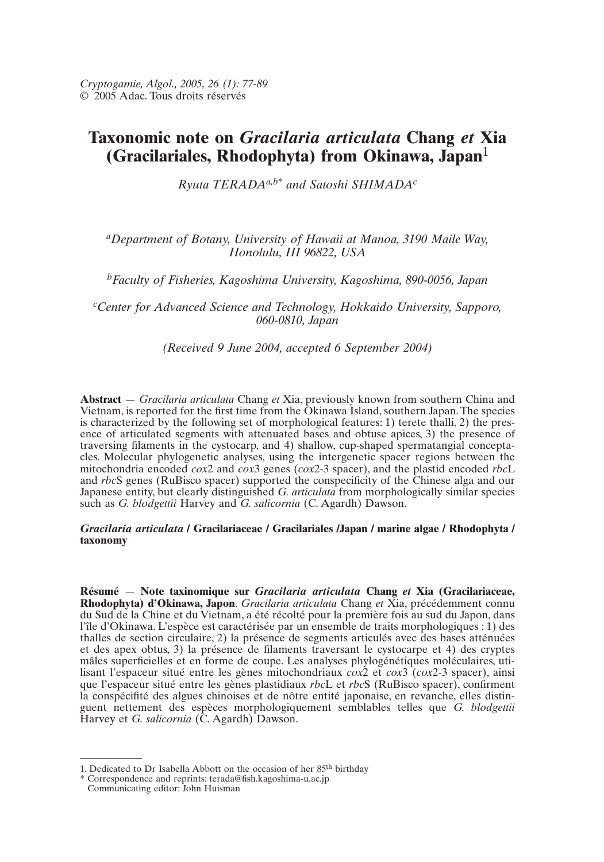# **Taxonomic note on** *Gracilaria articulata* **Chang** *et* **Xia (Gracilariales, Rhodophyta) from Okinawa, Japan**<sup>1</sup>

*Ryuta TERADAa,b\* and Satoshi SHIMADAc*

# *aDepartment of Botany, University of Hawaii at Manoa, 3190 Maile Way, Honolulu, HI 96822, USA*

*bFaculty of Fisheries, Kagoshima University, Kagoshima, 890-0056, Japan*

*c Center for Advanced Science and Technology, Hokkaido University, Sapporo, 060-0810, Japan*

*(Received 9 June 2004, accepted 6 September 2004)*

**Abstract** — *Gracilaria articulata* Chang *et* Xia, previously known from southern China and Vietnam, is reported for the first time from the Okinawa Island, southern Japan. The species is characterized by the following set of morphological features: 1) terete thalli, 2) the presence of articulated segments with attenuated bases and obtuse apices, 3) the presence of traversing filaments in the cystocarp, and 4) shallow, cup-shaped spermatangial conceptacles. Molecular phylogenetic analyses, using the intergenetic spacer regions between the mitochondria encoded *cox*2 and *cox*3 genes (*cox*2-3 spacer), and the plastid encoded *rbc*L and *rbc*S genes (RuBisco spacer) supported the conspecificity of the Chinese alga and our Japanese entity, but clearly distinguished *G. articulata* from morphologically similar species such as *G. blodgettii* Harvey and *G. salicornia* (C. Agardh) Dawson.

## *Gracilaria articulata* **/ Gracilariaceae / Gracilariales /Japan / marine algae / Rhodophyta / taxonomy**

**Résumé** — **Note taxinomique sur** *Gracilaria articulata* **Chang** *et* **Xia (Gracilariaceae, Rhodophyta) d'Okinawa, Japon**. *Gracilaria articulata* Chang *et* Xia, précédemment connu du Sud de la Chine et du Vietnam, a été récolté pour la première fois au sud du Japon, dans l'île d'Okinawa. L'espèce est caractérisée par un ensemble de traits morphologiques : 1) des thalles de section circulaire, 2) la présence de segments articulés avec des bases atténuées et des apex obtus, 3) la présence de filaments traversant le cystocarpe et 4) des cryptes mâles superficielles et en forme de coupe. Les analyses phylogénétiques moléculaires, utilisant l'espaceur situé entre les gènes mitochondriaux *cox*2 et *cox*3 (*cox*2-3 spacer), ainsi que l'espaceur situé entre les gènes plastidiaux *rbc*L et *rbc*S (RuBisco spacer), confirment la conspécifité des algues chinoises et de nôtre entité japonaise, en revanche, elles distinguent nettement des espèces morphologiquement semblables telles que *G. blodgettii* Harvey et *G. salicornia* (C. Agardh) Dawson.

<sup>1.</sup> Dedicated to Dr Isabella Abbott on the occasion of her 85th birthday

<sup>\*</sup> Correspondence and reprints: terada@fish.kagoshima-u.ac.jp Communicating editor: John Huisman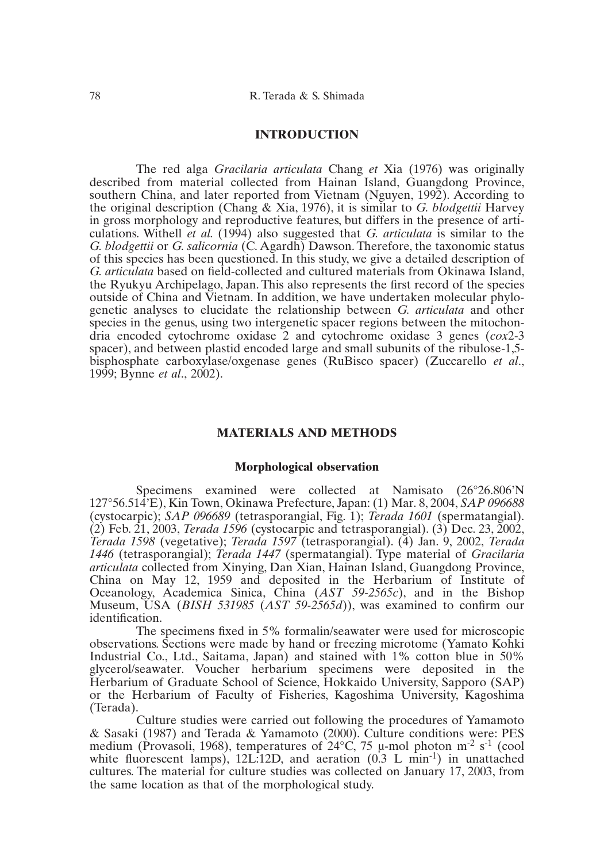### **INTRODUCTION**

The red alga *Gracilaria articulata* Chang *et* Xia (1976) was originally described from material collected from Hainan Island, Guangdong Province, southern China, and later reported from Vietnam (Nguyen, 1992). According to the original description (Chang & Xia, 1976), it is similar to *G. blodgettii* Harvey in gross morphology and reproductive features, but differs in the presence of articulations. Withell *et al.* (1994) also suggested that *G. articulata* is similar to the *G. blodgettii* or *G. salicornia* (C. Agardh) Dawson. Therefore, the taxonomic status of this species has been questioned. In this study, we give a detailed description of *G. articulata* based on field-collected and cultured materials from Okinawa Island, the Ryukyu Archipelago, Japan. This also represents the first record of the species outside of China and Vietnam. In addition, we have undertaken molecular phylogenetic analyses to elucidate the relationship between *G. articulata* and other species in the genus, using two intergenetic spacer regions between the mitochondria encoded cytochrome oxidase 2 and cytochrome oxidase 3 genes (*cox*2-3 spacer), and between plastid encoded large and small subunits of the ribulose-1,5 bisphosphate carboxylase/oxgenase genes (RuBisco spacer) (Zuccarello *et al*., 1999; Bynne *et al*., 2002).

## **MATERIALS AND METHODS**

### **Morphological observation**

Specimens examined were collected at Namisato (26°26.806'N 127°56.514'E), Kin Town, Okinawa Prefecture, Japan: (1) Mar. 8, 2004, *SAP 096688* (cystocarpic); *SAP 096689* (tetrasporangial, Fig. 1); *Terada 1601* (spermatangial). (2) Feb. 21, 2003, *Terada 1596* (cystocarpic and tetrasporangial). (3) Dec. 23, 2002, *Terada 1598* (vegetative); *Terada 1597* (tetrasporangial). (4) Jan. 9, 2002, *Terada 1446* (tetrasporangial); *Terada 1447* (spermatangial). Type material of *Gracilaria articulata* collected from Xinying, Dan Xian, Hainan Island, Guangdong Province, China on May 12, 1959 and deposited in the Herbarium of Institute of Oceanology, Academica Sinica, China (*AST 59-2565c*), and in the Bishop Museum, USA (*BISH 531985* (*AST 59-2565d*)), was examined to confirm our identification.

The specimens fixed in 5% formalin/seawater were used for microscopic observations. Sections were made by hand or freezing microtome (Yamato Kohki Industrial Co., Ltd., Saitama, Japan) and stained with 1% cotton blue in 50% glycerol/seawater. Voucher herbarium specimens were deposited in the Herbarium of Graduate School of Science, Hokkaido University, Sapporo (SAP) or the Herbarium of Faculty of Fisheries, Kagoshima University, Kagoshima (Terada).

Culture studies were carried out following the procedures of Yamamoto & Sasaki (1987) and Terada & Yamamoto (2000). Culture conditions were: PES medium (Provasoli, 1968), temperatures of  $24^{\circ}$ C, 75 µ-mol photon m<sup>-2</sup> s<sup>-1</sup> (cool white fluorescent lamps),  $12L:12D$ , and aeration  $(0.3 L min<sup>-1</sup>)$  in unattached cultures. The material for culture studies was collected on January 17, 2003, from the same location as that of the morphological study.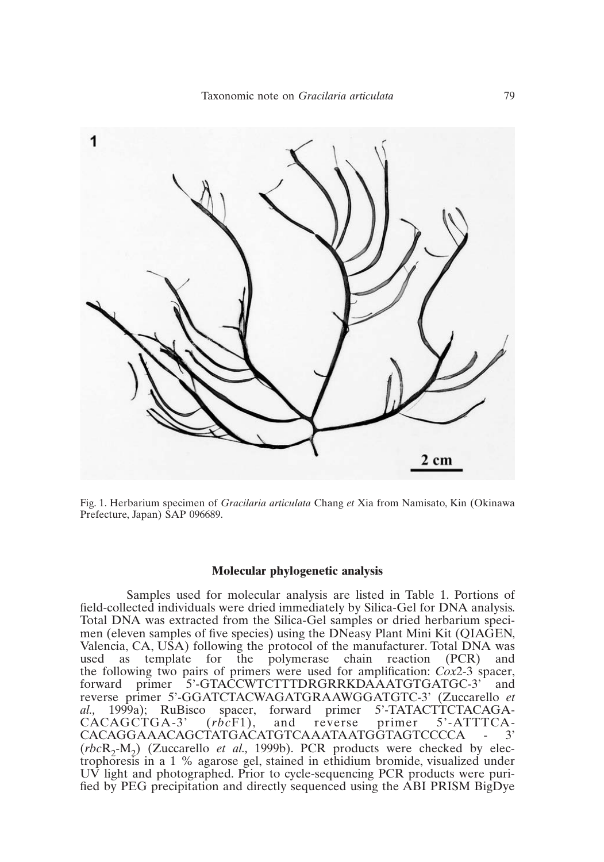

Fig. 1. Herbarium specimen of *Gracilaria articulata* Chang *et* Xia from Namisato, Kin (Okinawa Prefecture, Japan) SAP 096689.

### **Molecular phylogenetic analysis**

Samples used for molecular analysis are listed in Table 1. Portions of field-collected individuals were dried immediately by Silica-Gel for DNA analysis. Total DNA was extracted from the Silica-Gel samples or dried herbarium specimen (eleven samples of five species) using the DNeasy Plant Mini Kit (QIAGEN, Valencia, CA, USA) following the protocol of the manufacturer. Total DNA was used as template for the polymerase chain reaction (PCR) and the following two pairs of primers were used for amplification: *Cox*2-3 spacer, forward primer 5'-GTACCWTCTTTDRGRRKDAAATGTGATGC-3' and reverse primer 5'-GGATCTACWAGATGRAAWGGATGTC-3' (Zuccarello *et al.*, 1999a); RuBisco spacer, forward primer 5'-TATACTTCTACAGAal., 1999a); RuBisco spacer, forward primer 5'-TATACTTCTACAGA-CACAGCTGA-3' (rbcF1), and reverse primer 5'-ATTTCA-CACAGCTGA-3' (*rbc*F1), and reverse primer CACAGGAAACAGCTATGACATGTCAAATAATGGTAGTCCCCA - 3' (*rbc*R<sub>2</sub>-M<sub>2</sub>) (Zuccarello *et al.*, 1999b). PCR products were checked by electrophoresis in a 1 % agarose gel, stained in ethidium bromide, visualized under UV light and photographed. Prior to cycle-sequencing PCR products were purified by PEG precipitation and directly sequenced using the ABI PRISM BigDye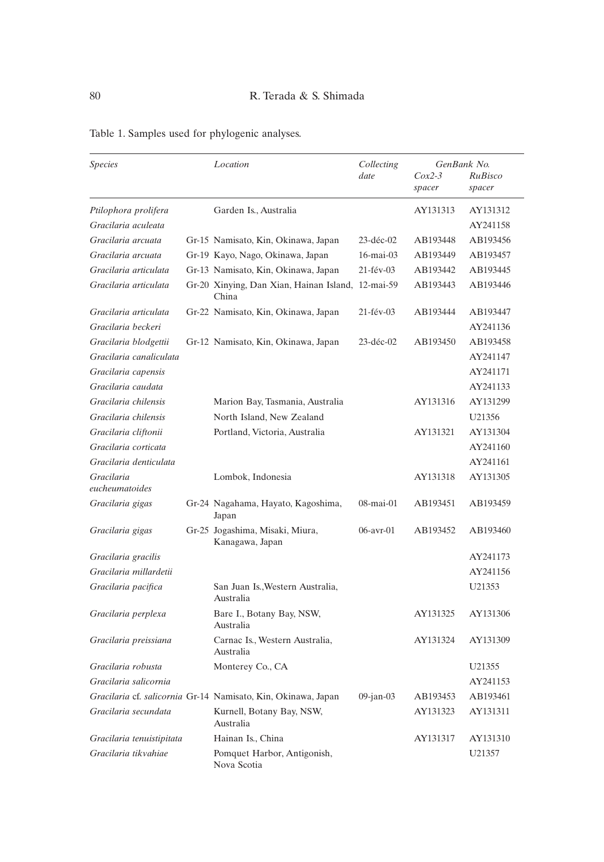| <b>Species</b>               | Location                                                      | Collecting<br>date | GenBank No. |          |
|------------------------------|---------------------------------------------------------------|--------------------|-------------|----------|
|                              |                                                               |                    | $Cox2-3$    | RuBisco  |
|                              |                                                               |                    | spacer      | spacer   |
| Ptilophora prolifera         | Garden Is., Australia                                         |                    | AY131313    | AY131312 |
| Gracilaria aculeata          |                                                               |                    |             | AY241158 |
| Gracilaria arcuata           | Gr-15 Namisato, Kin, Okinawa, Japan                           | 23-déc-02          | AB193448    | AB193456 |
| Gracilaria arcuata           | Gr-19 Kayo, Nago, Okinawa, Japan                              | 16-mai-03          | AB193449    | AB193457 |
| Gracilaria articulata        | Gr-13 Namisato, Kin, Okinawa, Japan                           | 21-fév-03          | AB193442    | AB193445 |
| Gracilaria articulata        | Gr-20 Xinying, Dan Xian, Hainan Island, 12-mai-59<br>China    |                    | AB193443    | AB193446 |
| Gracilaria articulata        | Gr-22 Namisato, Kin, Okinawa, Japan                           | 21-fév-03          | AB193444    | AB193447 |
| Gracilaria beckeri           |                                                               |                    |             | AY241136 |
| Gracilaria blodgettii        | Gr-12 Namisato, Kin, Okinawa, Japan                           | 23-déc-02          | AB193450    | AB193458 |
| Gracilaria canaliculata      |                                                               |                    |             | AY241147 |
| Gracilaria capensis          |                                                               |                    |             | AY241171 |
| Gracilaria caudata           |                                                               |                    |             | AY241133 |
| Gracilaria chilensis         | Marion Bay, Tasmania, Australia                               |                    | AY131316    | AY131299 |
| Gracilaria chilensis         | North Island, New Zealand                                     |                    |             | U21356   |
| Gracilaria cliftonii         | Portland, Victoria, Australia                                 |                    | AY131321    | AY131304 |
| Gracilaria corticata         |                                                               |                    |             | AY241160 |
| Gracilaria denticulata       |                                                               |                    |             | AY241161 |
| Gracilaria<br>eucheumatoides | Lombok, Indonesia                                             |                    | AY131318    | AY131305 |
| Gracilaria gigas             | Gr-24 Nagahama, Hayato, Kagoshima,<br>Japan                   | 08-mai-01          | AB193451    | AB193459 |
| Gracilaria gigas             | Gr-25 Jogashima, Misaki, Miura,<br>Kanagawa, Japan            | $06$ -avr- $01$    | AB193452    | AB193460 |
| Gracilaria gracilis          |                                                               |                    |             | AY241173 |
| Gracilaria millardetii       |                                                               |                    |             | AY241156 |
| Gracilaria pacifica          | San Juan Is., Western Australia,<br>Australia                 |                    |             | U21353   |
| Gracilaria perplexa          | Bare I., Botany Bay, NSW,<br>Australia                        |                    | AY131325    | AY131306 |
| Gracilaria preissiana        | Carnac Is., Western Australia,<br>Australia                   |                    | AY131324    | AY131309 |
| Gracilaria robusta           | Monterey Co., CA                                              |                    |             | U21355   |
| Gracilaria salicornia        |                                                               |                    |             | AY241153 |
|                              | Gracilaria cf. salicornia Gr-14 Namisato, Kin, Okinawa, Japan | $09$ -jan- $03$    | AB193453    | AB193461 |
| Gracilaria secundata         | Kurnell, Botany Bay, NSW,<br>Australia                        |                    | AY131323    | AY131311 |
| Gracilaria tenuistipitata    | Hainan Is., China                                             |                    | AY131317    | AY131310 |
| Gracilaria tikvahiae         | Pomquet Harbor, Antigonish,<br>Nova Scotia                    |                    |             | U21357   |

# Table 1. Samples used for phylogenic analyses.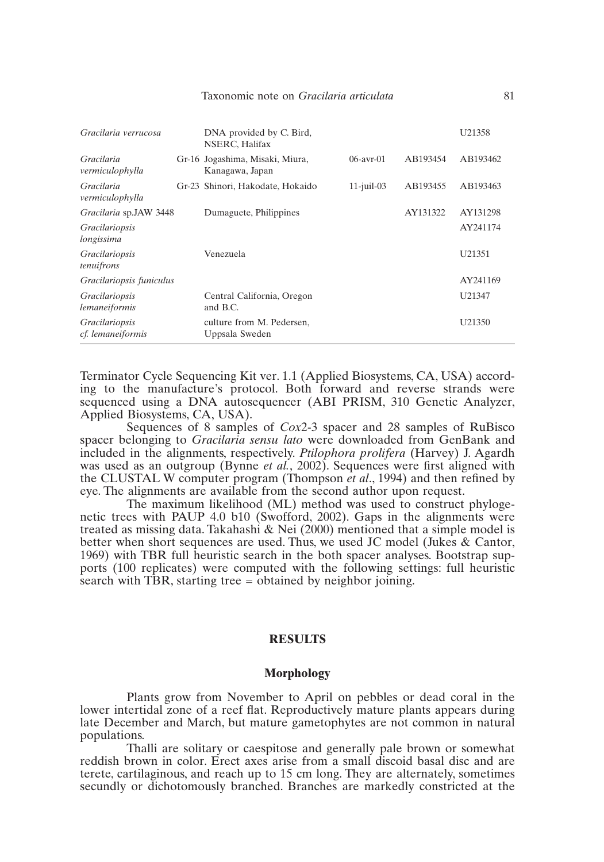| Gracilaria verrucosa                   | DNA provided by C. Bird,<br>NSERC, Halifax         |               |          | U21358   |
|----------------------------------------|----------------------------------------------------|---------------|----------|----------|
| Gracilaria<br>vermiculophylla          | Gr-16 Jogashima, Misaki, Miura,<br>Kanagawa, Japan | $06-avr-01$   | AB193454 | AB193462 |
| Gracilaria<br>vermiculophylla          | Gr-23 Shinori, Hakodate, Hokaido                   | $11$ -juil-03 | AB193455 | AB193463 |
| Gracilaria sp.JAW 3448                 | Dumaguete, Philippines                             |               | AY131322 | AY131298 |
| <i>Gracilariopsis</i><br>longissima    |                                                    |               |          | AY241174 |
| <i>Gracilariopsis</i><br>tenuifrons    | Venezuela                                          |               |          | U21351   |
| Gracilariopsis funiculus               |                                                    |               |          | AY241169 |
| <i>Gracilariopsis</i><br>lemaneiformis | Central California, Oregon<br>and B.C.             |               |          | U21347   |
| Gracilariopsis<br>cf. lemaneiformis    | culture from M. Pedersen,<br>Uppsala Sweden        |               |          | U21350   |

Terminator Cycle Sequencing Kit ver. 1.1 (Applied Biosystems, CA, USA) according to the manufacture's protocol. Both forward and reverse strands were sequenced using a DNA autosequencer (ABI PRISM, 310 Genetic Analyzer, Applied Biosystems, CA, USA).

Sequences of 8 samples of *Cox*2-3 spacer and 28 samples of RuBisco spacer belonging to *Gracilaria sensu lato* were downloaded from GenBank and included in the alignments, respectively. *Ptilophora prolifera* (Harvey) J. Agardh was used as an outgroup (Bynne *et al.*, 2002). Sequences were first aligned with the CLUSTAL W computer program (Thompson *et al*., 1994) and then refined by eye. The alignments are available from the second author upon request.

The maximum likelihood (ML) method was used to construct phylogenetic trees with PAUP 4.0 b10 (Swofford, 2002). Gaps in the alignments were treated as missing data. Takahashi  $\&$  Nei (2000) mentioned that a simple model is better when short sequences are used. Thus, we used JC model (Jukes & Cantor, 1969) with TBR full heuristic search in the both spacer analyses. Bootstrap supports (100 replicates) were computed with the following settings: full heuristic search with TBR, starting tree  $=$  obtained by neighbor joining.

# **RESULTS**

### **Morphology**

Plants grow from November to April on pebbles or dead coral in the lower intertidal zone of a reef flat. Reproductively mature plants appears during late December and March, but mature gametophytes are not common in natural populations.

Thalli are solitary or caespitose and generally pale brown or somewhat reddish brown in color. Erect axes arise from a small discoid basal disc and are terete, cartilaginous, and reach up to 15 cm long. They are alternately, sometimes secundly or dichotomously branched. Branches are markedly constricted at the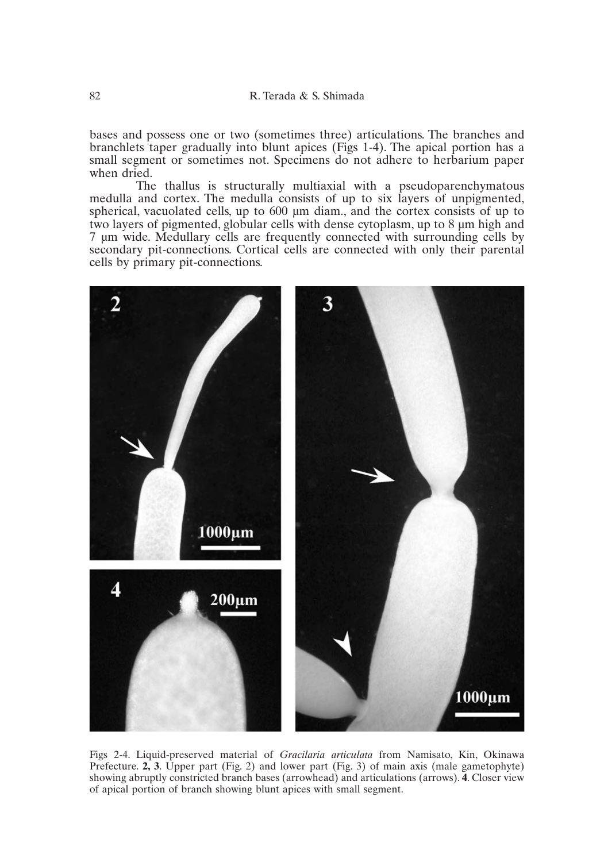bases and possess one or two (sometimes three) articulations. The branches and branchlets taper gradually into blunt apices (Figs 1-4). The apical portion has a small segment or sometimes not. Specimens do not adhere to herbarium paper when dried.

The thallus is structurally multiaxial with a pseudoparenchymatous medulla and cortex. The medulla consists of up to six layers of unpigmented, spherical, vacuolated cells, up to 600  $\mu$ m diam., and the cortex consists of up to two layers of pigmented, globular cells with dense cytoplasm, up to 8 µm high and 7 µm wide. Medullary cells are frequently connected with surrounding cells by secondary pit-connections. Cortical cells are connected with only their parental cells by primary pit-connections.



Figs 2-4. Liquid-preserved material of *Gracilaria articulata* from Namisato, Kin, Okinawa Prefecture.  $2$ ,  $3$ . Upper part (Fig. 2) and lower part (Fig. 3) of main axis (male gametophyte) showing abruptly constricted branch bases (arrowhead) and articulations (arrows). **4**. Closer view of apical portion of branch showing blunt apices with small segment.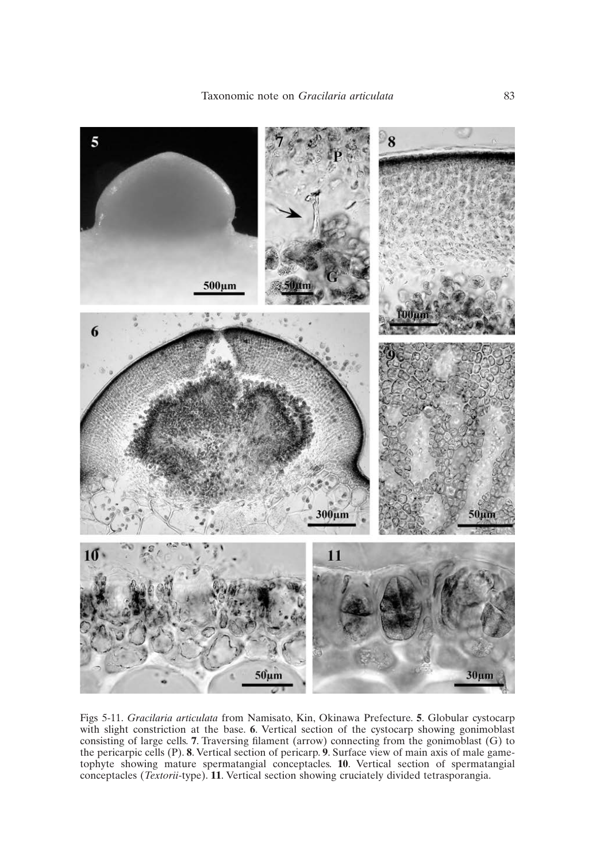Taxonomic note on *Gracilaria articulata* 83



Figs 5-11. *Gracilaria articulata* from Namisato, Kin, Okinawa Prefecture. **5**. Globular cystocarp with slight constriction at the base. **6**. Vertical section of the cystocarp showing gonimoblast consisting of large cells. **7**. Traversing filament (arrow) connecting from the gonimoblast (G) to the pericarpic cells (P). **8**. Vertical section of pericarp. **9**. Surface view of main axis of male gametophyte showing mature spermatangial conceptacles. **10**. Vertical section of spermatangial conceptacles (*Textorii-*type). **11**. Vertical section showing cruciately divided tetrasporangia.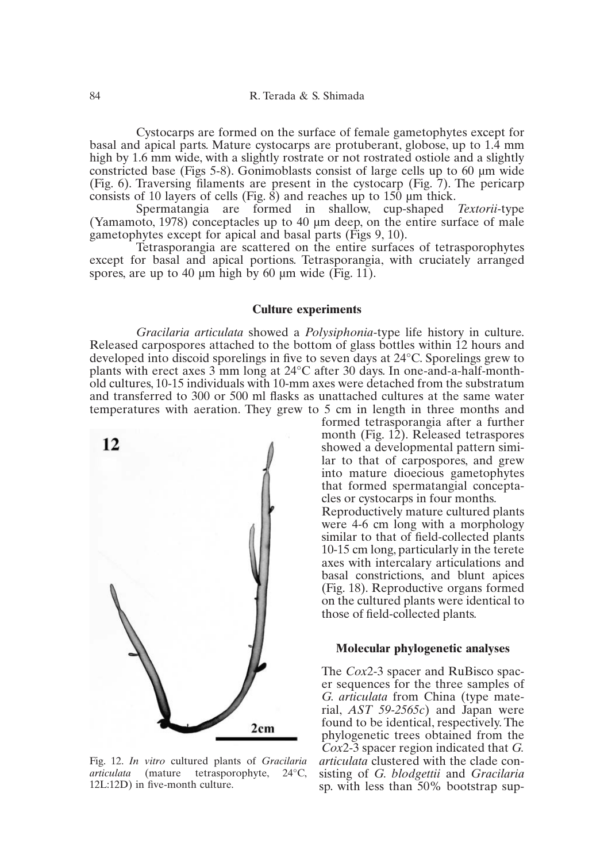Cystocarps are formed on the surface of female gametophytes except for basal and apical parts. Mature cystocarps are protuberant, globose, up to 1.4 mm high by 1.6 mm wide, with a slightly rostrate or not rostrated ostiole and a slightly constricted base (Figs 5-8). Gonimoblasts consist of large cells up to 60 µm wide (Fig. 6). Traversing filaments are present in the cystocarp (Fig. 7). The pericarp consists of 10 layers of cells (Fig.  $\hat{s}$ ) and reaches up to 150  $\mu$ m thick.<br>Spermatangia are formed in shallow, cup-shaped

Spermatangia are formed in shallow, cup-shaped *Textorii-*type (Yamamoto, 1978) conceptacles up to 40 µm deep, on the entire surface of male gametophytes except for apical and basal parts (Figs 9, 10).

Tetrasporangia are scattered on the entire surfaces of tetrasporophytes except for basal and apical portions. Tetrasporangia, with cruciately arranged spores, are up to 40  $\mu$ m high by 60  $\mu$ m wide (Fig. 11).

### **Culture experiments**

*Gracilaria articulata* showed a *Polysiphonia*-type life history in culture. Released carpospores attached to the bottom of glass bottles within 12 hours and developed into discoid sporelings in five to seven days at 24°C. Sporelings grew to plants with erect axes 3 mm long at 24°C after 30 days. In one-and-a-half-monthold cultures, 10-15 individuals with 10-mm axes were detached from the substratum and transferred to 300 or 500 ml flasks as unattached cultures at the same water temperatures with aeration. They grew to 5 cm in length in three months and



Fig. 12. *In vitro* cultured plants of *Gracilaria articulata* (mature tetrasporophyte, 24°C, 12L:12D) in five-month culture.

formed tetrasporangia after a further month (Fig. 12). Released tetraspores showed a developmental pattern similar to that of carpospores, and grew into mature dioecious gametophytes that formed spermatangial conceptacles or cystocarps in four months. Reproductively mature cultured plants were 4-6 cm long with a morphology similar to that of field-collected plants 10-15 cm long, particularly in the terete axes with intercalary articulations and basal constrictions, and blunt apices (Fig. 18). Reproductive organs formed on the cultured plants were identical to those of field-collected plants.

### **Molecular phylogenetic analyses**

The *Cox*2-3 spacer and RuBisco spacer sequences for the three samples of *G. articulata* from China (type material, *AST 59-2565c*) and Japan were found to be identical, respectively. The phylogenetic trees obtained from the *Cox*2-3 spacer region indicated that *G. articulata* clustered with the clade consisting of *G. blodgettii* and *Gracilaria* sp. with less than 50% bootstrap sup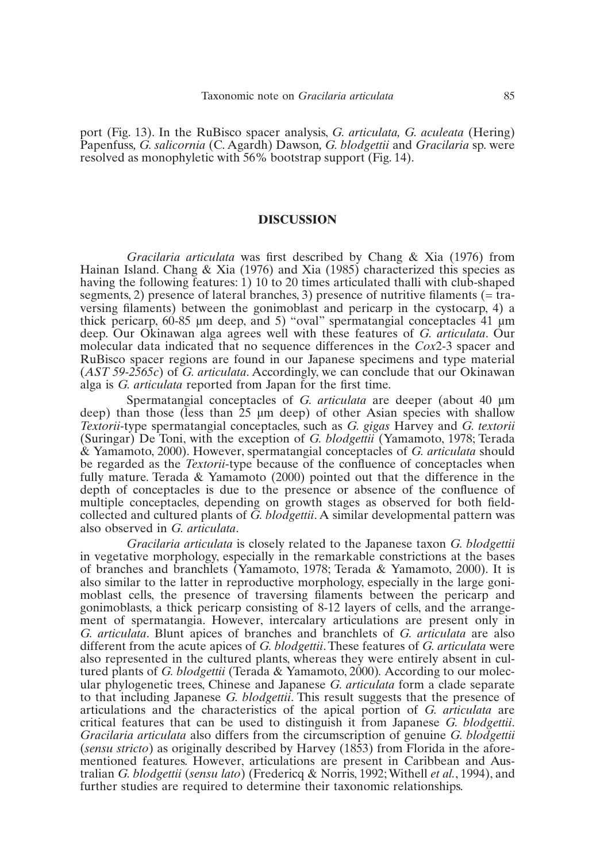port (Fig. 13). In the RuBisco spacer analysis, *G. articulata, G. aculeata* (Hering) Papenfuss*, G. salicornia* (C. Agardh) Dawson*, G. blodgettii* and *Gracilaria* sp. were resolved as monophyletic with 56% bootstrap support (Fig. 14).

### **DISCUSSION**

*Gracilaria articulata* was first described by Chang & Xia (1976) from Hainan Island. Chang & Xia (1976) and Xia (1985) characterized this species as having the following features: 1) 10 to 20 times articulated thalli with club-shaped segments, 2) presence of lateral branches, 3) presence of nutritive filaments (= traversing filaments) between the gonimoblast and pericarp in the cystocarp, 4) a thick pericarp, 60-85 µm deep, and 5) "oval" spermatangial conceptacles 41 µm deep. Our Okinawan alga agrees well with these features of *G. articulata*. Our molecular data indicated that no sequence differences in the *Cox*2-3 spacer and RuBisco spacer regions are found in our Japanese specimens and type material (*AST 59-2565c*) of *G. articulata*. Accordingly, we can conclude that our Okinawan alga is *G. articulata* reported from Japan for the first time.

Spermatangial conceptacles of *G. articulata* are deeper (about 40 µm deep) than those (less than 25 µm deep) of other Asian species with shallow *Textorii-*type spermatangial conceptacles, such as *G. gigas* Harvey and *G. textorii* (Suringar) De Toni, with the exception of *G. blodgettii* (Yamamoto, 1978; Terada & Yamamoto, 2000). However, spermatangial conceptacles of *G. articulata* should be regarded as the *Textorii*-type because of the confluence of conceptacles when fully mature. Terada & Yamamoto (2000) pointed out that the difference in the depth of conceptacles is due to the presence or absence of the confluence of multiple conceptacles, depending on growth stages as observed for both fieldcollected and cultured plants of *G. blodgettii*. A similar developmental pattern was also observed in *G. articulata*.

*Gracilaria articulata* is closely related to the Japanese taxon *G. blodgettii* in vegetative morphology, especially in the remarkable constrictions at the bases of branches and branchlets (Yamamoto, 1978; Terada & Yamamoto, 2000). It is also similar to the latter in reproductive morphology, especially in the large gonimoblast cells, the presence of traversing filaments between the pericarp and gonimoblasts, a thick pericarp consisting of 8-12 layers of cells, and the arrangement of spermatangia. However, intercalary articulations are present only in *G. articulata*. Blunt apices of branches and branchlets of *G. articulata* are also different from the acute apices of *G. blodgettii*. These features of *G. articulata* were also represented in the cultured plants, whereas they were entirely absent in cultured plants of *G. blodgettii* (Terada & Yamamoto, 2000)*.* According to our molecular phylogenetic trees, Chinese and Japanese *G. articulata* form a clade separate to that including Japanese *G. blodgettii*. This result suggests that the presence of articulations and the characteristics of the apical portion of *G. articulata* are critical features that can be used to distinguish it from Japanese *G. blodgettii*. *Gracilaria articulata* also differs from the circumscription of genuine *G. blodgettii* (*sensu stricto*) as originally described by Harvey (1853) from Florida in the aforementioned features. However, articulations are present in Caribbean and Australian *G. blodgettii* (*sensu lato*) (Fredericq & Norris, 1992; Withell *et al.*, 1994), and further studies are required to determine their taxonomic relationships.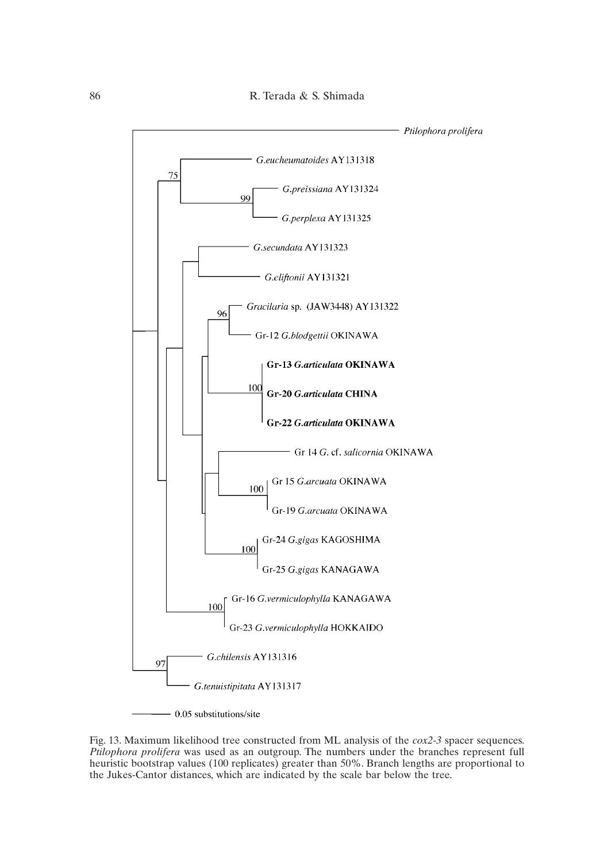

Fig. 13. Maximum likelihood tree constructed from ML analysis of the *cox2-3* spacer sequences. *Ptilophora prolifera* was used as an outgroup. The numbers under the branches represent full heuristic bootstrap values (100 replicates) greater than 50%. Branch lengths are proportional to the Jukes-Cantor distances, which are indicated by the scale bar below the tree.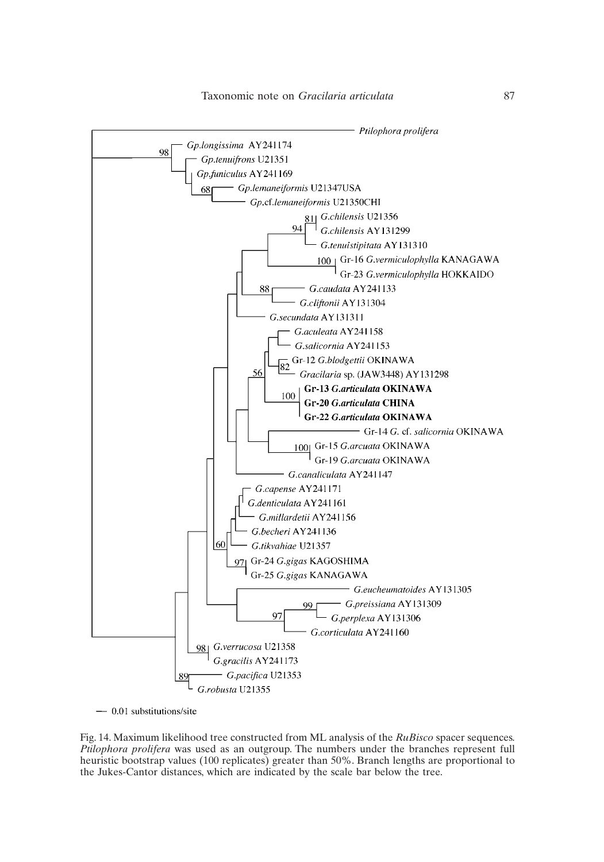

 $-$  0.01 substitutions/site

Fig. 14. Maximum likelihood tree constructed from ML analysis of the *RuBisco* spacer sequences. *Ptilophora prolifera* was used as an outgroup. The numbers under the branches represent full heuristic bootstrap values (100 replicates) greater than 50%. Branch lengths are proportional to the Jukes-Cantor distances, which are indicated by the scale bar below the tree.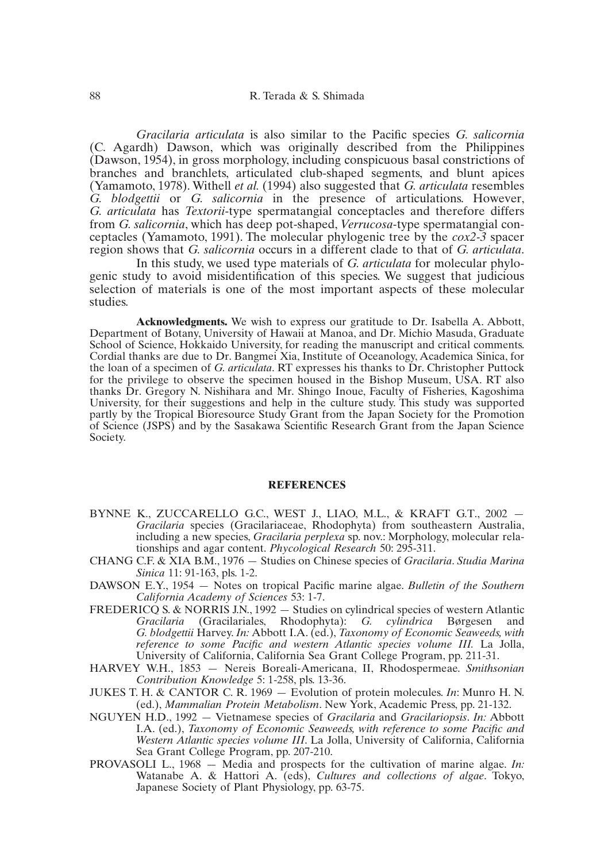*Gracilaria articulata* is also similar to the Pacific species *G. salicornia* (C. Agardh) Dawson, which was originally described from the Philippines (Dawson, 1954), in gross morphology, including conspicuous basal constrictions of branches and branchlets, articulated club-shaped segments, and blunt apices (Yamamoto, 1978). Withell *et al.* (1994) also suggested that *G. articulata* resembles *G. blodgettii* or *G. salicornia* in the presence of articulations. However, *G. articulata* has *Textorii*-type spermatangial conceptacles and therefore differs from *G. salicornia*, which has deep pot-shaped, *Verrucosa*-type spermatangial conceptacles (Yamamoto, 1991). The molecular phylogenic tree by the *cox2-3* spacer region shows that *G. salicornia* occurs in a different clade to that of *G. articulata*.

In this study, we used type materials of *G. articulata* for molecular phylogenic study to avoid misidentification of this species. We suggest that judicious selection of materials is one of the most important aspects of these molecular studies.

**Acknowledgments.** We wish to express our gratitude to Dr. Isabella A. Abbott, Department of Botany, University of Hawaii at Manoa, and Dr. Michio Masuda, Graduate School of Science, Hokkaido University, for reading the manuscript and critical comments. Cordial thanks are due to Dr. Bangmei Xia, Institute of Oceanology, Academica Sinica, for the loan of a specimen of *G. articulata*. RT expresses his thanks to Dr. Christopher Puttock for the privilege to observe the specimen housed in the Bishop Museum, USA. RT also thanks Dr. Gregory N. Nishihara and Mr. Shingo Inoue, Faculty of Fisheries, Kagoshima University, for their suggestions and help in the culture study. This study was supported partly by the Tropical Bioresource Study Grant from the Japan Society for the Promotion of Science (JSPS) and by the Sasakawa Scientific Research Grant from the Japan Science Society.

### **REFERENCES**

- BYNNE K., ZUCCARELLO G.C., WEST J., LIAO, M.L., & KRAFT G.T., 2002 *Gracilaria* species (Gracilariaceae, Rhodophyta) from southeastern Australia, including a new species, *Gracilaria perplexa* sp. nov.: Morphology, molecular relationships and agar content. *Phycological Research* 50: 295-311.
- CHANG C.F. & XIA B.M., 1976 Studies on Chinese species of *Gracilaria*. *Studia Marina Sinica* 11: 91-163, pls. 1-2.
- DAWSON E.Y., 1954 Notes on tropical Pacific marine algae. *Bulletin of the Southern California Academy of Sciences* 53: 1-7.
- FREDERICO S. & NORRIS J.N., 1992 Studies on cylindrical species of western Atlantic Gracilaria (Gracilariales. Rhodophyta): G. cylindrica Børgesen and *Gracilaria* (Gracilariales, Rhodophyta): *G. cylindrica* Børgesen *G. blodgettii* Harvey. *In:* Abbott I.A. (ed.), *Taxonomy of Economic Seaweeds, with reference to some Pacific and western Atlantic species volume III.* La Jolla, University of California, California Sea Grant College Program, pp. 211-31.
- HARVEY W.H., 1853 Nereis Boreali-Americana, II, Rhodospermeae. *Smithsonian Contribution Knowledge* 5: 1-258, pls. 13-36.
- JUKES T. H. & CANTOR C. R. 1969 Evolution of protein molecules. *In*: Munro H. N. (ed.), *Mammalian Protein Metabolism*. New York, Academic Press, pp. 21-132.
- NGUYEN H.D., 1992 Vietnamese species of *Gracilaria* and *Gracilariopsis*. *In:* Abbott I.A. (ed.), *Taxonomy of Economic Seaweeds, with reference to some Pacific and Western Atlantic species volume III*. La Jolla, University of California, California Sea Grant College Program, pp. 207-210.
- PROVASOLI L., 1968 Media and prospects for the cultivation of marine algae. *In:* Watanabe A. & Hattori A. (eds), *Cultures and collections of algae*. Tokyo, Japanese Society of Plant Physiology, pp. 63-75.